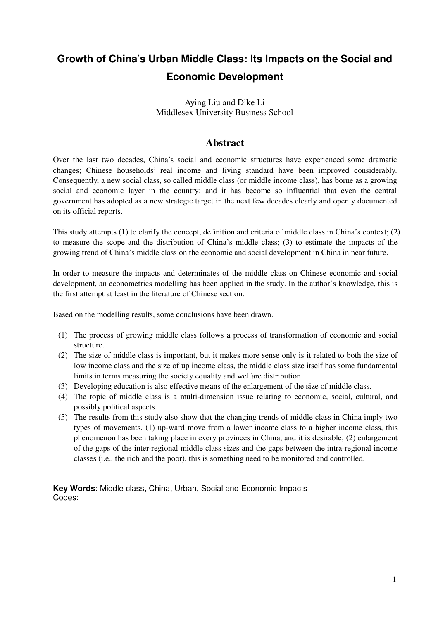# **Growth of China's Urban Middle Class: Its Impacts on the Social and Economic Development**

Aying Liu and Dike Li Middlesex University Business School

## **Abstract**

Over the last two decades, China's social and economic structures have experienced some dramatic changes; Chinese households' real income and living standard have been improved considerably. Consequently, a new social class, so called middle class (or middle income class), has borne as a growing social and economic layer in the country; and it has become so influential that even the central government has adopted as a new strategic target in the next few decades clearly and openly documented on its official reports.

This study attempts (1) to clarify the concept, definition and criteria of middle class in China's context; (2) to measure the scope and the distribution of China's middle class; (3) to estimate the impacts of the growing trend of China's middle class on the economic and social development in China in near future.

In order to measure the impacts and determinates of the middle class on Chinese economic and social development, an econometrics modelling has been applied in the study. In the author's knowledge, this is the first attempt at least in the literature of Chinese section.

Based on the modelling results, some conclusions have been drawn.

- (1) The process of growing middle class follows a process of transformation of economic and social structure.
- (2) The size of middle class is important, but it makes more sense only is it related to both the size of low income class and the size of up income class, the middle class size itself has some fundamental limits in terms measuring the society equality and welfare distribution.
- (3) Developing education is also effective means of the enlargement of the size of middle class.
- (4) The topic of middle class is a multi-dimension issue relating to economic, social, cultural, and possibly political aspects.
- (5) The results from this study also show that the changing trends of middle class in China imply two types of movements. (1) up-ward move from a lower income class to a higher income class, this phenomenon has been taking place in every provinces in China, and it is desirable; (2) enlargement of the gaps of the inter-regional middle class sizes and the gaps between the intra-regional income classes (i.e., the rich and the poor), this is something need to be monitored and controlled.

**Key Words**: Middle class, China, Urban, Social and Economic Impacts Codes: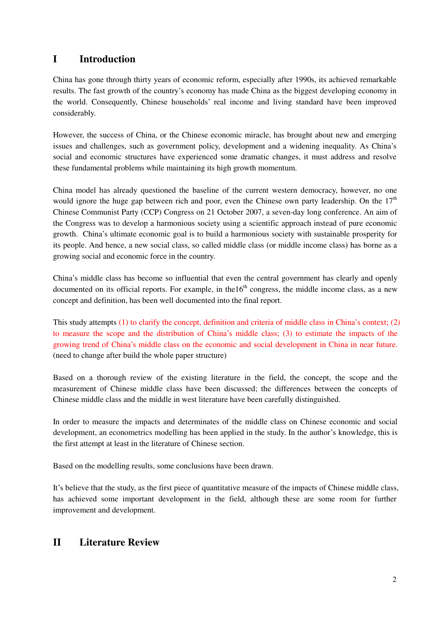## **I Introduction**

China has gone through thirty years of economic reform, especially after 1990s, its achieved remarkable results. The fast growth of the country's economy has made China as the biggest developing economy in the world. Consequently, Chinese households' real income and living standard have been improved considerably.

However, the success of China, or the Chinese economic miracle, has brought about new and emerging issues and challenges, such as government policy, development and a widening inequality. As China's social and economic structures have experienced some dramatic changes, it must address and resolve these fundamental problems while maintaining its high growth momentum.

China model has already questioned the baseline of the current western democracy, however, no one would ignore the huge gap between rich and poor, even the Chinese own party leadership. On the 17<sup>th</sup> Chinese Communist Party (CCP) Congress on 21 October 2007, a seven-day long conference. An aim of the Congress was to develop a harmonious society using a scientific approach instead of pure economic growth. China's ultimate economic goal is to build a harmonious society with sustainable prosperity for its people. And hence, a new social class, so called middle class (or middle income class) has borne as a growing social and economic force in the country.

China's middle class has become so influential that even the central government has clearly and openly documented on its official reports. For example, in the  $16<sup>th</sup>$  congress, the middle income class, as a new concept and definition, has been well documented into the final report.

This study attempts (1) to clarify the concept, definition and criteria of middle class in China's context; (2) to measure the scope and the distribution of China's middle class; (3) to estimate the impacts of the growing trend of China's middle class on the economic and social development in China in near future. (need to change after build the whole paper structure)

Based on a thorough review of the existing literature in the field, the concept, the scope and the measurement of Chinese middle class have been discussed; the differences between the concepts of Chinese middle class and the middle in west literature have been carefully distinguished.

In order to measure the impacts and determinates of the middle class on Chinese economic and social development, an econometrics modelling has been applied in the study. In the author's knowledge, this is the first attempt at least in the literature of Chinese section.

Based on the modelling results, some conclusions have been drawn.

It's believe that the study, as the first piece of quantitative measure of the impacts of Chinese middle class, has achieved some important development in the field, although these are some room for further improvement and development.

## **II Literature Review**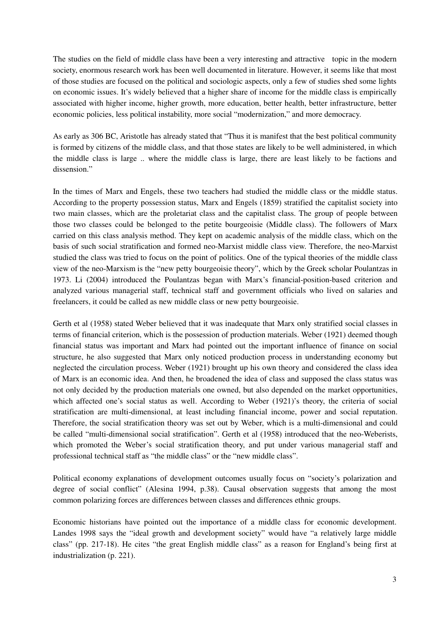The studies on the field of middle class have been a very interesting and attractive topic in the modern society, enormous research work has been well documented in literature. However, it seems like that most of those studies are focused on the political and sociologic aspects, only a few of studies shed some lights on economic issues. It's widely believed that a higher share of income for the middle class is empirically associated with higher income, higher growth, more education, better health, better infrastructure, better economic policies, less political instability, more social "modernization," and more democracy.

As early as 306 BC, Aristotle has already stated that "Thus it is manifest that the best political community is formed by citizens of the middle class, and that those states are likely to be well administered, in which the middle class is large .. where the middle class is large, there are least likely to be factions and dissension."

In the times of Marx and Engels, these two teachers had studied the middle class or the middle status. According to the property possession status, Marx and Engels (1859) stratified the capitalist society into two main classes, which are the proletariat class and the capitalist class. The group of people between those two classes could be belonged to the petite bourgeoisie (Middle class). The followers of Marx carried on this class analysis method. They kept on academic analysis of the middle class, which on the basis of such social stratification and formed neo-Marxist middle class view. Therefore, the neo-Marxist studied the class was tried to focus on the point of politics. One of the typical theories of the middle class view of the neo-Marxism is the "new petty bourgeoisie theory", which by the Greek scholar Poulantzas in 1973. Li (2004) introduced the Poulantzas began with Marx's financial-position-based criterion and analyzed various managerial staff, technical staff and government officials who lived on salaries and freelancers, it could be called as new middle class or new petty bourgeoisie.

Gerth et al (1958) stated Weber believed that it was inadequate that Marx only stratified social classes in terms of financial criterion, which is the possession of production materials. Weber (1921) deemed though financial status was important and Marx had pointed out the important influence of finance on social structure, he also suggested that Marx only noticed production process in understanding economy but neglected the circulation process. Weber (1921) brought up his own theory and considered the class idea of Marx is an economic idea. And then, he broadened the idea of class and supposed the class status was not only decided by the production materials one owned, but also depended on the market opportunities, which affected one's social status as well. According to Weber (1921)'s theory, the criteria of social stratification are multi-dimensional, at least including financial income, power and social reputation. Therefore, the social stratification theory was set out by Weber, which is a multi-dimensional and could be called "multi-dimensional social stratification". Gerth et al (1958) introduced that the neo-Weberists, which promoted the Weber's social stratification theory, and put under various managerial staff and professional technical staff as "the middle class" or the "new middle class".

Political economy explanations of development outcomes usually focus on "society's polarization and degree of social conflict" (Alesina 1994, p.38). Causal observation suggests that among the most common polarizing forces are differences between classes and differences ethnic groups.

Economic historians have pointed out the importance of a middle class for economic development. Landes 1998 says the "ideal growth and development society" would have "a relatively large middle class" (pp. 217-18). He cites "the great English middle class" as a reason for England's being first at industrialization (p. 221).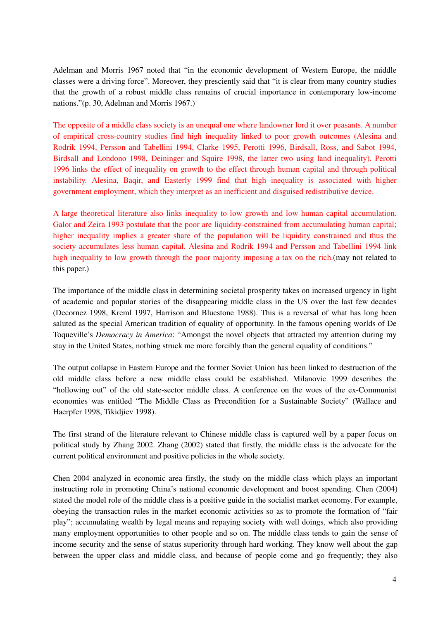Adelman and Morris 1967 noted that "in the economic development of Western Europe, the middle classes were a driving force". Moreover, they presciently said that "it is clear from many country studies that the growth of a robust middle class remains of crucial importance in contemporary low-income nations."(p. 30, Adelman and Morris 1967.)

The opposite of a middle class society is an unequal one where landowner lord it over peasants. A number of empirical cross-country studies find high inequality linked to poor growth outcomes (Alesina and Rodrik 1994, Persson and Tabellini 1994, Clarke 1995, Perotti 1996, Birdsall, Ross, and Sabot 1994, Birdsall and Londono 1998, Deininger and Squire 1998, the latter two using land inequality). Perotti 1996 links the effect of inequality on growth to the effect through human capital and through political instability. Alesina, Baqir, and Easterly 1999 find that high inequality is associated with higher government employment, which they interpret as an inefficient and disguised redistributive device.

A large theoretical literature also links inequality to low growth and low human capital accumulation. Galor and Zeira 1993 postulate that the poor are liquidity-constrained from accumulating human capital; higher inequality implies a greater share of the population will be liquidity constrained and thus the society accumulates less human capital. Alesina and Rodrik 1994 and Persson and Tabellini 1994 link high inequality to low growth through the poor majority imposing a tax on the rich.(may not related to this paper.)

The importance of the middle class in determining societal prosperity takes on increased urgency in light of academic and popular stories of the disappearing middle class in the US over the last few decades (Decornez 1998, Kreml 1997, Harrison and Bluestone 1988). This is a reversal of what has long been saluted as the special American tradition of equality of opportunity. In the famous opening worlds of De Toqueville's *Democracy in America*: "Amongst the novel objects that attracted my attention during my stay in the United States, nothing struck me more forcibly than the general equality of conditions."

The output collapse in Eastern Europe and the former Soviet Union has been linked to destruction of the old middle class before a new middle class could be established. Milanovic 1999 describes the "hollowing out" of the old state-sector middle class. A conference on the woes of the ex-Communist economies was entitled "The Middle Class as Precondition for a Sustainable Society" (Wallace and Haerpfer 1998, Tikidjiev 1998).

The first strand of the literature relevant to Chinese middle class is captured well by a paper focus on political study by Zhang 2002. Zhang (2002) stated that firstly, the middle class is the advocate for the current political environment and positive policies in the whole society.

Chen 2004 analyzed in economic area firstly, the study on the middle class which plays an important instructing role in promoting China's national economic development and boost spending. Chen (2004) stated the model role of the middle class is a positive guide in the socialist market economy. For example, obeying the transaction rules in the market economic activities so as to promote the formation of "fair play"; accumulating wealth by legal means and repaying society with well doings, which also providing many employment opportunities to other people and so on. The middle class tends to gain the sense of income security and the sense of status superiority through hard working. They know well about the gap between the upper class and middle class, and because of people come and go frequently; they also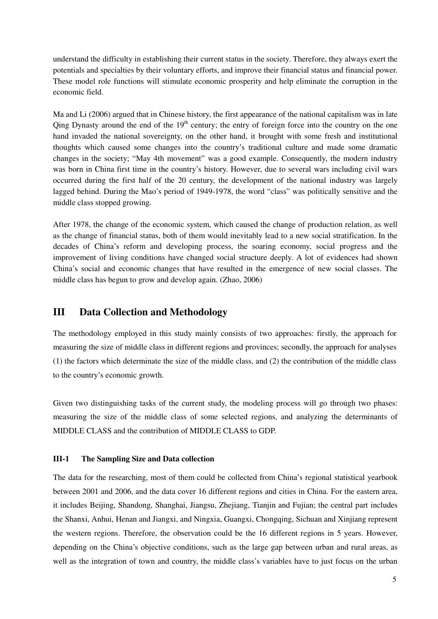understand the difficulty in establishing their current status in the society. Therefore, they always exert the potentials and specialties by their voluntary efforts, and improve their financial status and financial power. These model role functions will stimulate economic prosperity and help eliminate the corruption in the economic field.

Ma and Li (2006) argued that in Chinese history, the first appearance of the national capitalism was in late Qing Dynasty around the end of the  $19<sup>th</sup>$  century; the entry of foreign force into the country on the one hand invaded the national sovereignty, on the other hand, it brought with some fresh and institutional thoughts which caused some changes into the country's traditional culture and made some dramatic changes in the society; "May 4th movement" was a good example. Consequently, the modern industry was born in China first time in the country's history. However, due to several wars including civil wars occurred during the first half of the 20 century, the development of the national industry was largely lagged behind. During the Mao's period of 1949-1978, the word "class" was politically sensitive and the middle class stopped growing.

After 1978, the change of the economic system, which caused the change of production relation, as well as the change of financial status, both of them would inevitably lead to a new social stratification. In the decades of China's reform and developing process, the soaring economy, social progress and the improvement of living conditions have changed social structure deeply. A lot of evidences had shown China's social and economic changes that have resulted in the emergence of new social classes. The middle class has begun to grow and develop again. (Zhao, 2006)

## **III Data Collection and Methodology**

The methodology employed in this study mainly consists of two approaches: firstly, the approach for measuring the size of middle class in different regions and provinces; secondly, the approach for analyses (1) the factors which determinate the size of the middle class, and (2) the contribution of the middle class to the country's economic growth.

Given two distinguishing tasks of the current study, the modeling process will go through two phases: measuring the size of the middle class of some selected regions, and analyzing the determinants of MIDDLE CLASS and the contribution of MIDDLE CLASS to GDP.

## **III-1 The Sampling Size and Data collection**

The data for the researching, most of them could be collected from China's regional statistical yearbook between 2001 and 2006, and the data cover 16 different regions and cities in China. For the eastern area, it includes Beijing, Shandong, Shanghai, Jiangsu, Zhejiang, Tianjin and Fujian; the central part includes the Shanxi, Anhui, Henan and Jiangxi, and Ningxia, Guangxi, Chongqing, Sichuan and Xinjiang represent the western regions. Therefore, the observation could be the 16 different regions in 5 years. However, depending on the China's objective conditions, such as the large gap between urban and rural areas, as well as the integration of town and country, the middle class's variables have to just focus on the urban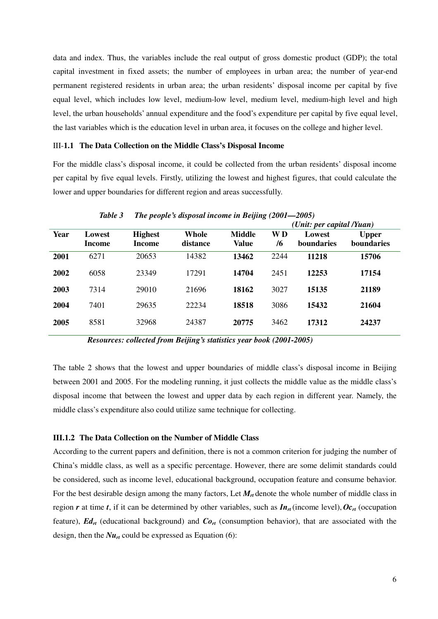data and index. Thus, the variables include the real output of gross domestic product (GDP); the total capital investment in fixed assets; the number of employees in urban area; the number of year-end permanent registered residents in urban area; the urban residents' disposal income per capital by five equal level, which includes low level, medium-low level, medium level, medium-high level and high level, the urban households' annual expenditure and the food's expenditure per capital by five equal level, the last variables which is the education level in urban area, it focuses on the college and higher level.

#### III-**1.1 The Data Collection on the Middle Class's Disposal Income**

For the middle class's disposal income, it could be collected from the urban residents' disposal income per capital by five equal levels. Firstly, utilizing the lowest and highest figures, that could calculate the lower and upper boundaries for different region and areas successfully.

|              |                  |                          |                   |                               |          | (Unit: per capital /Yuan)   |                                   |
|--------------|------------------|--------------------------|-------------------|-------------------------------|----------|-----------------------------|-----------------------------------|
| Year         | Lowest<br>Income | <b>Highest</b><br>Income | Whole<br>distance | <b>Middle</b><br><b>Value</b> | WD<br>/6 | Lowest<br><b>boundaries</b> | <b>Upper</b><br><b>boundaries</b> |
| 2001         | 6271             | 20653                    | 14382             | 13462                         | 2244     | 11218                       | 15706                             |
| 2002         | 6058             | 23349                    | 17291             | 14704                         | 2451     | 12253                       | 17154                             |
| 2003         | 7314             | 29010                    | 21696             | 18162                         | 3027     | 15135                       | 21189                             |
| 2004<br>2005 | 7401<br>8581     | 29635<br>32968           | 22234             | 18518<br>20775                | 3086     | 15432                       | 21604                             |
|              |                  |                          | 24387             |                               | 3462     | 17312                       | 24237                             |

*Table 3 The people's disposal income in Beijing (2001—2005)* 

 *Resources: collected from Beijing's statistics year book (2001-2005)* 

The table 2 shows that the lowest and upper boundaries of middle class's disposal income in Beijing between 2001 and 2005. For the modeling running, it just collects the middle value as the middle class's disposal income that between the lowest and upper data by each region in different year. Namely, the middle class's expenditure also could utilize same technique for collecting.

#### **III.1.2 The Data Collection on the Number of Middle Class**

According to the current papers and definition, there is not a common criterion for judging the number of China's middle class, as well as a specific percentage. However, there are some delimit standards could be considered, such as income level, educational background, occupation feature and consume behavior. For the best desirable design among the many factors, Let  $M<sub>rt</sub>$  denote the whole number of middle class in region *r* at time *t*, if it can be determined by other variables, such as  $In<sub>rt</sub>$  (income level),  $Oc<sub>rt</sub>$  (occupation feature),  $Ed<sub>rt</sub>$  (educational background) and  $Co<sub>rt</sub>$  (consumption behavior), that are associated with the design, then the  $Nu_{rt}$  could be expressed as Equation (6):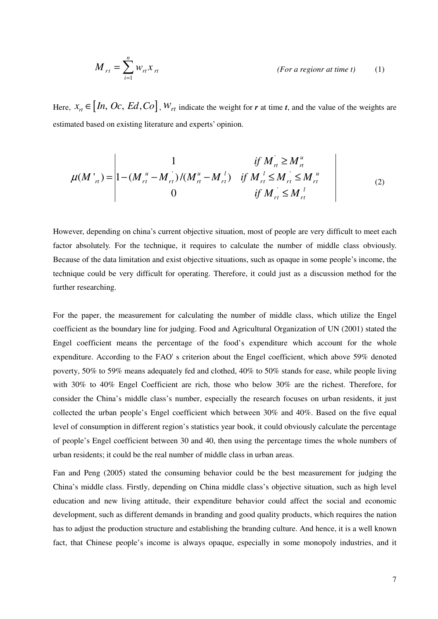$$
M_{rt} = \sum_{i=1}^{n} w_{rt} x_{rt}
$$
 (For a regionr at time t) (1)

Here,  $x_{r} \in [In, Oc, Ed, Co], W_{rt}$  indicate the weight for *r* at time *t*, and the value of the weights are estimated based on existing literature and experts' opinion.

$$
\mu(M'_{rt}) = \begin{vmatrix}\n1 & if M_{rt} \ge M_{rt}^u \\
1 - (M_{rt}^u - M_{rt}^v) / (M_{rt}^u - M_{rt}^l) & if M_{rt}^l \le M_{rt}^v \le M_{rt}^u \\
0 & if M_{rt}^l \le M_{rt}^l\n\end{vmatrix}
$$
\n(2)

However, depending on china's current objective situation, most of people are very difficult to meet each factor absolutely. For the technique, it requires to calculate the number of middle class obviously. Because of the data limitation and exist objective situations, such as opaque in some people's income, the technique could be very difficult for operating. Therefore, it could just as a discussion method for the further researching.

For the paper, the measurement for calculating the number of middle class, which utilize the Engel coefficient as the boundary line for judging. Food and Agricultural Organization of UN (2001) stated the Engel coefficient means the percentage of the food's expenditure which account for the whole expenditure. According to the FAO' s criterion about the Engel coefficient, which above 59% denoted poverty, 50% to 59% means adequately fed and clothed, 40% to 50% stands for ease, while people living with 30% to 40% Engel Coefficient are rich, those who below 30% are the richest. Therefore, for consider the China's middle class's number, especially the research focuses on urban residents, it just collected the urban people's Engel coefficient which between 30% and 40%. Based on the five equal level of consumption in different region's statistics year book, it could obviously calculate the percentage of people's Engel coefficient between 30 and 40, then using the percentage times the whole numbers of urban residents; it could be the real number of middle class in urban areas.

Fan and Peng (2005) stated the consuming behavior could be the best measurement for judging the China's middle class. Firstly, depending on China middle class's objective situation, such as high level education and new living attitude, their expenditure behavior could affect the social and economic development, such as different demands in branding and good quality products, which requires the nation has to adjust the production structure and establishing the branding culture. And hence, it is a well known fact, that Chinese people's income is always opaque, especially in some monopoly industries, and it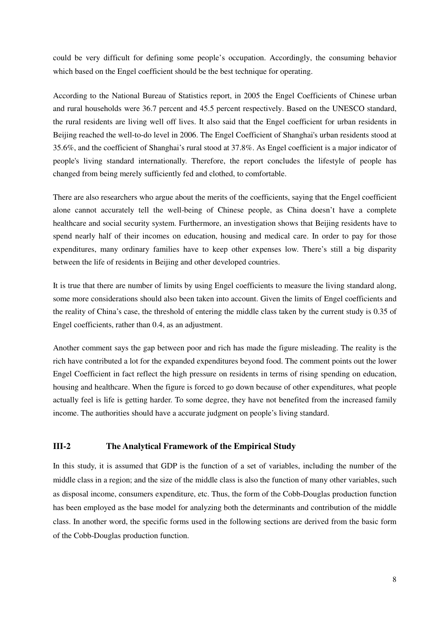could be very difficult for defining some people's occupation. Accordingly, the consuming behavior which based on the Engel coefficient should be the best technique for operating.

According to the National Bureau of Statistics report, in 2005 the Engel Coefficients of Chinese urban and rural households were 36.7 percent and 45.5 percent respectively. Based on the UNESCO standard, the rural residents are living well off lives. It also said that the Engel coefficient for urban residents in Beijing reached the well-to-do level in 2006. The Engel Coefficient of Shanghai's urban residents stood at 35.6%, and the coefficient of Shanghai's rural stood at 37.8%. As Engel coefficient is a major indicator of people's living standard internationally. Therefore, the report concludes the lifestyle of people has changed from being merely sufficiently fed and clothed, to comfortable.

There are also researchers who argue about the merits of the coefficients, saying that the Engel coefficient alone cannot accurately tell the well-being of Chinese people, as China doesn't have a complete healthcare and social security system. Furthermore, an investigation shows that Beijing residents have to spend nearly half of their incomes on education, housing and medical care. In order to pay for those expenditures, many ordinary families have to keep other expenses low. There's still a big disparity between the life of residents in Beijing and other developed countries.

It is true that there are number of limits by using Engel coefficients to measure the living standard along, some more considerations should also been taken into account. Given the limits of Engel coefficients and the reality of China's case, the threshold of entering the middle class taken by the current study is 0.35 of Engel coefficients, rather than 0.4, as an adjustment.

Another comment says the gap between poor and rich has made the figure misleading. The reality is the rich have contributed a lot for the expanded expenditures beyond food. The comment points out the lower Engel Coefficient in fact reflect the high pressure on residents in terms of rising spending on education, housing and healthcare. When the figure is forced to go down because of other expenditures, what people actually feel is life is getting harder. To some degree, they have not benefited from the increased family income. The authorities should have a accurate judgment on people's living standard.

## **III-2 The Analytical Framework of the Empirical Study**

In this study, it is assumed that GDP is the function of a set of variables, including the number of the middle class in a region; and the size of the middle class is also the function of many other variables, such as disposal income, consumers expenditure, etc. Thus, the form of the Cobb-Douglas production function has been employed as the base model for analyzing both the determinants and contribution of the middle class. In another word, the specific forms used in the following sections are derived from the basic form of the Cobb-Douglas production function.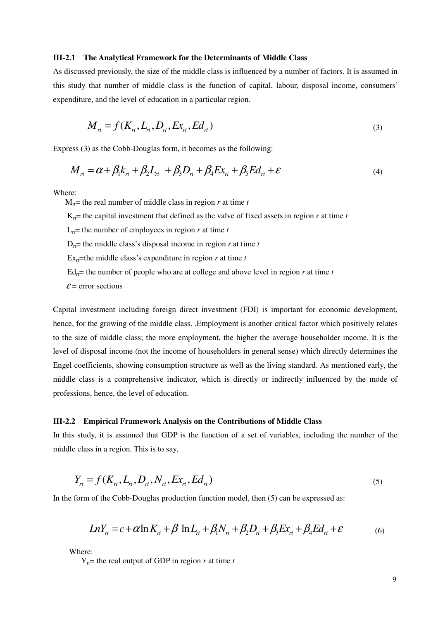#### **III-2.1 The Analytical Framework for the Determinants of Middle Class**

As discussed previously, the size of the middle class is influenced by a number of factors. It is assumed in this study that number of middle class is the function of capital, labour, disposal income, consumers' expenditure, and the level of education in a particular region.

$$
M_{tt} = f(K_{tt}, L_{tt}, D_{tt}, Ex_{tt}, Ed_{tt})
$$
\n(3)

Express (3) as the Cobb-Douglas form, it becomes as the following:

$$
M_{rt} = \alpha + \beta_1 k_{rt} + \beta_2 L_{rt} + \beta_3 D_{rt} + \beta_4 E x_{rt} + \beta_5 E d_{rt} + \varepsilon
$$
\n(4)

Where:

 $M_{\text{rf}}$ = the real number of middle class in region *r* at time *t* 

 $K_{\text{r}}$ = the capital investment that defined as the valve of fixed assets in region *r* at time *t* 

 $L_{rt}$ = the number of employees in region *r* at time *t* 

 $D_{\tau}$ = the middle class's disposal income in region *r* at time *t* 

Ex<sub>rt</sub>=the middle class's expenditure in region  $r$  at time  $t$ 

 $Ed<sub>r</sub>$ = the number of people who are at college and above level in region *r* at time *t* 

 $\varepsilon$  = error sections

Capital investment including foreign direct investment (FDI) is important for economic development, hence, for the growing of the middle class. .Employment is another critical factor which positively relates to the size of middle class; the more employment, the higher the average householder income. It is the level of disposal income (not the income of householders in general sense) which directly determines the Engel coefficients, showing consumption structure as well as the living standard. As mentioned early, the middle class is a comprehensive indicator, which is directly or indirectly influenced by the mode of professions, hence, the level of education.

#### **III-2.2 Empirical Framework Analysis on the Contributions of Middle Class**

In this study, it is assumed that GDP is the function of a set of variables, including the number of the middle class in a region. This is to say,

$$
Y_{tt} = f(K_{tt}, L_{tt}, D_{tt}, N_{tt}, Ex_{tt}, Ed_{tt})
$$
\n(5)

In the form of the Cobb-Douglas production function model, then (5) can be expressed as:

$$
LnYn = c + \alpha ln Kn + \beta ln Ln + \beta_1 Nn + \beta_2 Dn + \beta_3 Exn + \beta_4 Edn + \varepsilon
$$
 (6)

Where:

 $Y_{rt}$ = the real output of GDP in region *r* at time *t*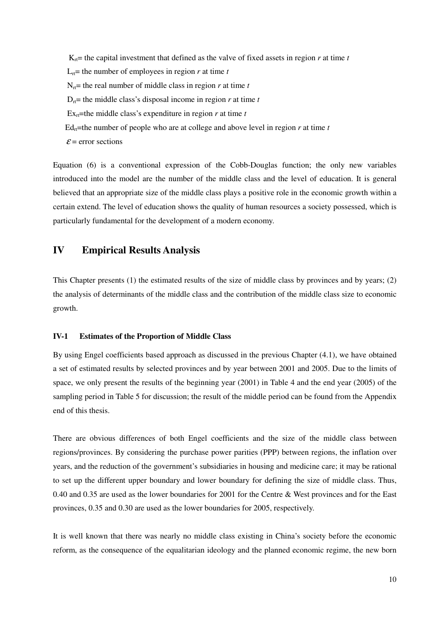$K<sub>rt</sub>$ = the capital investment that defined as the valve of fixed assets in region *r* at time *t*  $L_{rt}$ = the number of employees in region *r* at time *t*  $N_{\text{rf}}$  the real number of middle class in region *r* at time *t*  $D_{\tau}$ = the middle class's disposal income in region *r* at time *t* Ex<sub>rt</sub>=the middle class's expenditure in region  $r$  at time  $t$  $Ed<sub>r</sub>$ =the number of people who are at college and above level in region *r* at time *t*  $\varepsilon$  = error sections

Equation (6) is a conventional expression of the Cobb-Douglas function; the only new variables introduced into the model are the number of the middle class and the level of education. It is general believed that an appropriate size of the middle class plays a positive role in the economic growth within a certain extend. The level of education shows the quality of human resources a society possessed, which is particularly fundamental for the development of a modern economy.

## **IV Empirical Results Analysis**

This Chapter presents (1) the estimated results of the size of middle class by provinces and by years; (2) the analysis of determinants of the middle class and the contribution of the middle class size to economic growth.

#### **IV-1 Estimates of the Proportion of Middle Class**

By using Engel coefficients based approach as discussed in the previous Chapter (4.1), we have obtained a set of estimated results by selected provinces and by year between 2001 and 2005. Due to the limits of space, we only present the results of the beginning year (2001) in Table 4 and the end year (2005) of the sampling period in Table 5 for discussion; the result of the middle period can be found from the Appendix end of this thesis.

There are obvious differences of both Engel coefficients and the size of the middle class between regions/provinces. By considering the purchase power parities (PPP) between regions, the inflation over years, and the reduction of the government's subsidiaries in housing and medicine care; it may be rational to set up the different upper boundary and lower boundary for defining the size of middle class. Thus, 0.40 and 0.35 are used as the lower boundaries for 2001 for the Centre & West provinces and for the East provinces, 0.35 and 0.30 are used as the lower boundaries for 2005, respectively.

It is well known that there was nearly no middle class existing in China's society before the economic reform, as the consequence of the equalitarian ideology and the planned economic regime, the new born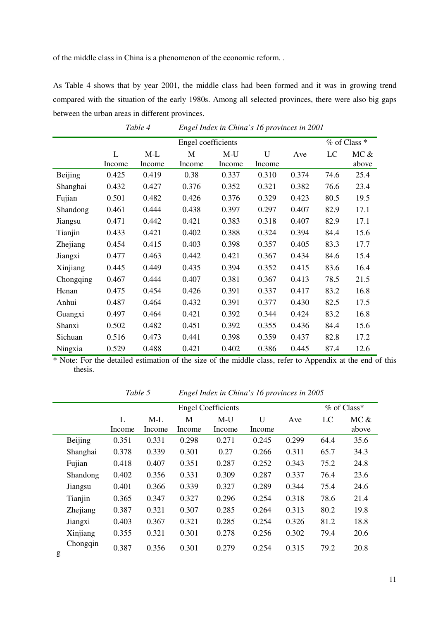of the middle class in China is a phenomenon of the economic reform. .

As Table 4 shows that by year 2001, the middle class had been formed and it was in growing trend compared with the situation of the early 1980s. Among all selected provinces, there were also big gaps between the urban areas in different provinces.

|                |        |        |        | % of Class * |        |       |      |       |
|----------------|--------|--------|--------|--------------|--------|-------|------|-------|
|                | L      | $M-L$  | M      | $M-U$        | U      | Ave   | LC   | MC &  |
|                | Income | Income | Income | Income       | Income |       |      | above |
| <b>Beijing</b> | 0.425  | 0.419  | 0.38   | 0.337        | 0.310  | 0.374 | 74.6 | 25.4  |
| Shanghai       | 0.432  | 0.427  | 0.376  | 0.352        | 0.321  | 0.382 | 76.6 | 23.4  |
| Fujian         | 0.501  | 0.482  | 0.426  | 0.376        | 0.329  | 0.423 | 80.5 | 19.5  |
| Shandong       | 0.461  | 0.444  | 0.438  | 0.397        | 0.297  | 0.407 | 82.9 | 17.1  |
| Jiangsu        | 0.471  | 0.442  | 0.421  | 0.383        | 0.318  | 0.407 | 82.9 | 17.1  |
| Tianjin        | 0.433  | 0.421  | 0.402  | 0.388        | 0.324  | 0.394 | 84.4 | 15.6  |
| Zhejiang       | 0.454  | 0.415  | 0.403  | 0.398        | 0.357  | 0.405 | 83.3 | 17.7  |
| Jiangxi        | 0.477  | 0.463  | 0.442  | 0.421        | 0.367  | 0.434 | 84.6 | 15.4  |
| Xinjiang       | 0.445  | 0.449  | 0.435  | 0.394        | 0.352  | 0.415 | 83.6 | 16.4  |
| Chongqing      | 0.467  | 0.444  | 0.407  | 0.381        | 0.367  | 0.413 | 78.5 | 21.5  |
| Henan          | 0.475  | 0.454  | 0.426  | 0.391        | 0.337  | 0.417 | 83.2 | 16.8  |
| Anhui          | 0.487  | 0.464  | 0.432  | 0.391        | 0.377  | 0.430 | 82.5 | 17.5  |
| Guangxi        | 0.497  | 0.464  | 0.421  | 0.392        | 0.344  | 0.424 | 83.2 | 16.8  |
| Shanxi         | 0.502  | 0.482  | 0.451  | 0.392        | 0.355  | 0.436 | 84.4 | 15.6  |
| Sichuan        | 0.516  | 0.473  | 0.441  | 0.398        | 0.359  | 0.437 | 82.8 | 17.2  |
| Ningxia        | 0.529  | 0.488  | 0.421  | 0.402        | 0.386  | 0.445 | 87.4 | 12.6  |

*Table 4 Engel Index in China's 16 provinces in 2001*

\* Note: For the detailed estimation of the size of the middle class, refer to Appendix at the end of this thesis.

|          |          |             |                 |             | <b>Engel Coefficients</b> |             |       | $%$ of Class <sup>*</sup> |               |  |
|----------|----------|-------------|-----------------|-------------|---------------------------|-------------|-------|---------------------------|---------------|--|
|          |          | L<br>Income | $M-L$<br>Income | M<br>Income | $M-U$<br>Income           | U<br>Income | Ave   | LC                        | MC &<br>above |  |
|          | Beijing  | 0.351       | 0.331           | 0.298       | 0.271                     | 0.245       | 0.299 | 64.4                      | 35.6          |  |
|          | Shanghai | 0.378       | 0.339           | 0.301       | 0.27                      | 0.266       | 0.311 | 65.7                      | 34.3          |  |
|          | Fujian   | 0.418       | 0.407           | 0.351       | 0.287                     | 0.252       | 0.343 | 75.2                      | 24.8          |  |
|          | Shandong | 0.402       | 0.356           | 0.331       | 0.309                     | 0.287       | 0.337 | 76.4                      | 23.6          |  |
|          | Jiangsu  | 0.401       | 0.366           | 0.339       | 0.327                     | 0.289       | 0.344 | 75.4                      | 24.6          |  |
|          | Tianjin  | 0.365       | 0.347           | 0.327       | 0.296                     | 0.254       | 0.318 | 78.6                      | 21.4          |  |
|          | Zhejiang | 0.387       | 0.321           | 0.307       | 0.285                     | 0.264       | 0.313 | 80.2                      | 19.8          |  |
|          | Jiangxi  | 0.403       | 0.367           | 0.321       | 0.285                     | 0.254       | 0.326 | 81.2                      | 18.8          |  |
|          | Xinjiang | 0.355       | 0.321           | 0.301       | 0.278                     | 0.256       | 0.302 | 79.4                      | 20.6          |  |
| $\alpha$ | Chongqin | 0.387       | 0.356           | 0.301       | 0.279                     | 0.254       | 0.315 | 79.2                      | 20.8          |  |

*Table 5 Engel Index in China's 16 provinces in 2005* 

g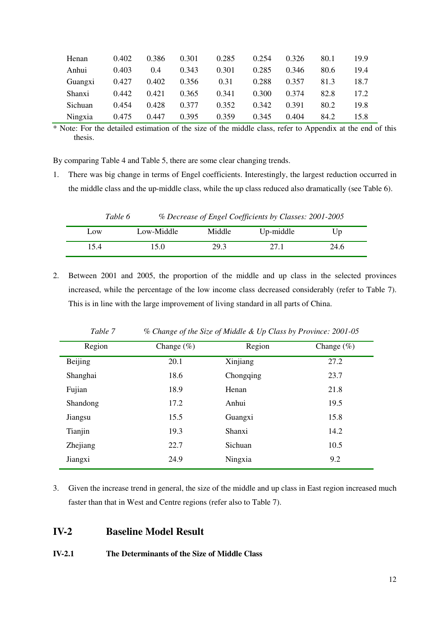| Henan   | 0.402 | 0.386 | 0.301 | 0.285 | 0.254 | 0.326 | 80.1 | 19.9 |  |
|---------|-------|-------|-------|-------|-------|-------|------|------|--|
| Anhui   | 0.403 | 0.4   | 0.343 | 0.301 | 0.285 | 0.346 | 80.6 | 19.4 |  |
| Guangxi | 0.427 | 0.402 | 0.356 | 0.31  | 0.288 | 0.357 | 81.3 | 18.7 |  |
| Shanxi  | 0.442 | 0.421 | 0.365 | 0.341 | 0.300 | 0.374 | 82.8 | 17.2 |  |
| Sichuan | 0.454 | 0.428 | 0.377 | 0.352 | 0.342 | 0.391 | 80.2 | 19.8 |  |
| Ningxia | 0.475 | 0.447 | 0.395 | 0.359 | 0.345 | 0.404 | 84.2 | 15.8 |  |

\* Note: For the detailed estimation of the size of the middle class, refer to Appendix at the end of this thesis.

By comparing Table 4 and Table 5, there are some clear changing trends.

1. There was big change in terms of Engel coefficients. Interestingly, the largest reduction occurred in the middle class and the up-middle class, while the up class reduced also dramatically (see Table 6).

*Table 6 % Decrease of Engel Coefficients by Classes: 2001-2005* 

|      |            | $\mathbf{v}$<br>$\overline{\phantom{a}}$<br>vv |           |      |
|------|------------|------------------------------------------------|-----------|------|
| LOW  | Low-Middle | Middle                                         | Up-middle | Up   |
| 15.4 | 5.0        | 29.3                                           | 41.1      | 24.6 |

2. Between 2001 and 2005, the proportion of the middle and up class in the selected provinces increased, while the percentage of the low income class decreased considerably (refer to Table 7). This is in line with the large improvement of living standard in all parts of China.

| Region   | Change $(\%)$ | Region    | Change $(\%)$ |
|----------|---------------|-----------|---------------|
| Beijing  | 20.1          | Xinjiang  | 27.2          |
| Shanghai | 18.6          | Chongqing | 23.7          |
| Fujian   | 18.9          | Henan     | 21.8          |
| Shandong | 17.2          | Anhui     | 19.5          |
| Jiangsu  | 15.5          | Guangxi   | 15.8          |
| Tianjin  | 19.3          | Shanxi    | 14.2          |
| Zhejiang | 22.7          | Sichuan   | 10.5          |
| Jiangxi  | 24.9          | Ningxia   | 9.2           |

*Table 7 % Change of the Size of Middle & Up Class by Province: 2001-05* 

3. Given the increase trend in general, the size of the middle and up class in East region increased much faster than that in West and Centre regions (refer also to Table 7).

## **IV-2 Baseline Model Result**

## **IV-2.1 The Determinants of the Size of Middle Class**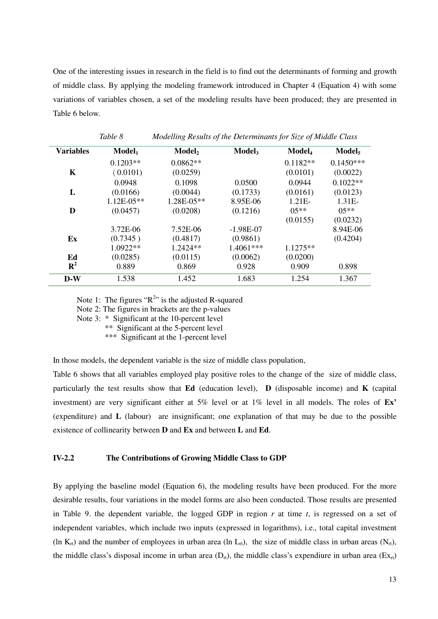One of the interesting issues in research in the field is to find out the determinants of forming and growth of middle class. By applying the modeling framework introduced in Chapter 4 (Equation 4) with some variations of variables chosen, a set of the modeling results have been produced; they are presented in Table 6 below.

|                                | Tuvie o        | <i>Modelling Results of the Determinants for Size of Middle Class</i> |                    |                    |                |
|--------------------------------|----------------|-----------------------------------------------------------------------|--------------------|--------------------|----------------|
| <b>Variables</b>               | $\bf{Model}_1$ | Model <sub>2</sub>                                                    | Model <sub>3</sub> | Model <sub>4</sub> | $\bf{Model}_5$ |
|                                | $0.1203**$     | $0.0862**$                                                            |                    | $0.1182**$         | $0.1450***$    |
| K                              | (0.0101)       | (0.0259)                                                              |                    | (0.0101)           | (0.0022)       |
|                                | 0.0948         | 0.1098                                                                | 0.0500             | 0.0944             | $0.1022**$     |
| L                              | (0.0166)       | (0.0044)                                                              | (0.1733)           | (0.0161)           | (0.0123)       |
|                                | $1.12E-05**$   | 1.28E-05**                                                            | 8.95E-06           | $1.21E-$           | 1.31E-         |
| D                              | (0.0457)       | (0.0208)                                                              | (0.1216)           | $0.5**$            | $0.5**$        |
|                                |                |                                                                       |                    | (0.0155)           | (0.0232)       |
|                                | 3.72E-06       | 7.52E-06                                                              | $-1.98E-07$        |                    | 8.94E-06       |
| Ex                             | (0.7345)       | (0.4817)                                                              | (0.9861)           |                    | (0.4204)       |
|                                | 1.0922**       | 1.2424**                                                              | 1.4061***          | $1.1275**$         |                |
| Ed                             | (0.0285)       | (0.0115)                                                              | (0.0062)           | (0.0200)           |                |
| ${\bf R}^2$                    | 0.889          | 0.869                                                                 | 0.928              | 0.909              | 0.898          |
| $\mathbf{D}\text{-}\mathbf{W}$ | 1.538          | 1.452                                                                 | 1.683              | 1.254              | 1.367          |

*Table 8 Modelling Results of the Determinants for Size of Middle Class* 

Note 1: The figures " $R^{2}$ " is the adjusted R-squared

Note 2: The figures in brackets are the p-values

Note 3: \* Significant at the 10-percent level

\*\* Significant at the 5-percent level

\*\*\* Significant at the 1-percent level

In those models, the dependent variable is the size of middle class population,

Table 6 shows that all variables employed play positive roles to the change of the size of middle class, particularly the test results show that **Ed** (education level), **D** (disposable income) and **K** (capital investment) are very significant either at 5% level or at 1% level in all models. The roles of **Ex'** (expenditure) and **L** (labour) are insignificant; one explanation of that may be due to the possible existence of collinearity between **D** and **Ex** and between **L** and **Ed**.

#### **IV-2.2 The Contributions of Growing Middle Class to GDP**

By applying the baseline model (Equation 6), the modeling results have been produced. For the more desirable results, four variations in the model forms are also been conducted. Those results are presented in Table 9. the dependent variable, the logged GDP in region *r* at time *t*, is regressed on a set of independent variables, which include two inputs (expressed in logarithms), i.e., total capital investment (ln K<sub>rt</sub>) and the number of employees in urban area (ln L<sub>rt</sub>), the size of middle class in urban areas (N<sub>rt</sub>), the middle class's disposal income in urban area  $(D_{\pi})$ , the middle class's expendiure in urban area (Ex<sub>rt</sub>)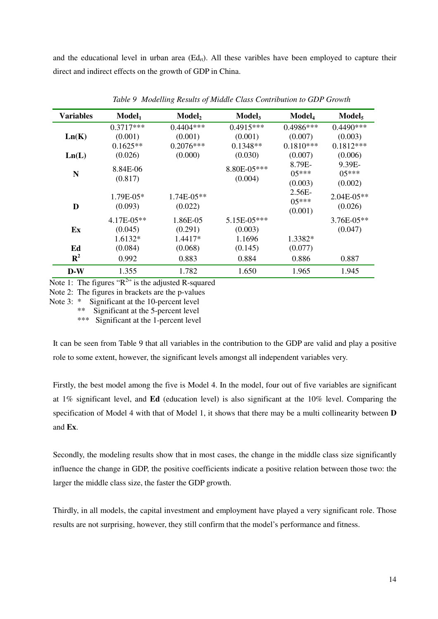and the educational level in urban area  $(\text{Ed}_{\text{rt}})$ . All these varibles have been employed to capture their direct and indirect effects on the growth of GDP in China.

| Variables   | $\bf{Model}_1$                       | Model <sub>2</sub>                    | Model <sub>3</sub>                   | Model <sub>4</sub>                    | $\bf{Model}_5$                        |
|-------------|--------------------------------------|---------------------------------------|--------------------------------------|---------------------------------------|---------------------------------------|
| Ln(K)       | $0.3717***$<br>(0.001)<br>$0.1625**$ | $0.4404***$<br>(0.001)<br>$0.2076***$ | $0.4915***$<br>(0.001)<br>$0.1348**$ | $0.4986***$<br>(0.007)<br>$0.1810***$ | $0.4490***$<br>(0.003)<br>$0.1812***$ |
| Ln(L)       | (0.026)                              | (0.000)                               | (0.030)                              | (0.007)<br>8.79E-                     | (0.006)<br>9.39E-                     |
| N           | 8.84E-06<br>(0.817)                  |                                       | 8.80E-05***<br>(0.004)               | $0.5***$<br>(0.003)                   | $0.5***$<br>(0.002)                   |
| D           | $1.79E - 0.5*$<br>(0.093)            | $1.74E-05**$<br>(0.022)               |                                      | $2.56E -$<br>$05***$<br>(0.001)       | 2.04E-05**<br>(0.026)                 |
| Ex          | $4.17E-05**$<br>(0.045)<br>$1.6132*$ | 1.86E-05<br>(0.291)<br>1.4417*        | $5.15E-05***$<br>(0.003)<br>1.1696   | 1.3382*                               | $3.76E-05**$<br>(0.047)               |
| Ed          | (0.084)                              | (0.068)                               | (0.145)                              | (0.077)                               |                                       |
| ${\bf R}^2$ | 0.992                                | 0.883                                 | 0.884                                | 0.886                                 | 0.887                                 |
| $D-W$       | 1.355                                | 1.782                                 | 1.650                                | 1.965                                 | 1.945                                 |

*Table 9 Modelling Results of Middle Class Contribution to GDP Growth* 

Note 1: The figures " $R^{2}$ " is the adjusted R-squared

Note 2: The figures in brackets are the p-values

Note 3: \* Significant at the 10-percent level

\*\* Significant at the 5-percent level

\*\*\* Significant at the 1-percent level

It can be seen from Table 9 that all variables in the contribution to the GDP are valid and play a positive role to some extent, however, the significant levels amongst all independent variables very.

Firstly, the best model among the five is Model 4. In the model, four out of five variables are significant at 1% significant level, and **Ed** (education level) is also significant at the 10% level. Comparing the specification of Model 4 with that of Model 1, it shows that there may be a multi collinearity between **D** and **Ex**.

Secondly, the modeling results show that in most cases, the change in the middle class size significantly influence the change in GDP, the positive coefficients indicate a positive relation between those two: the larger the middle class size, the faster the GDP growth.

Thirdly, in all models, the capital investment and employment have played a very significant role. Those results are not surprising, however, they still confirm that the model's performance and fitness.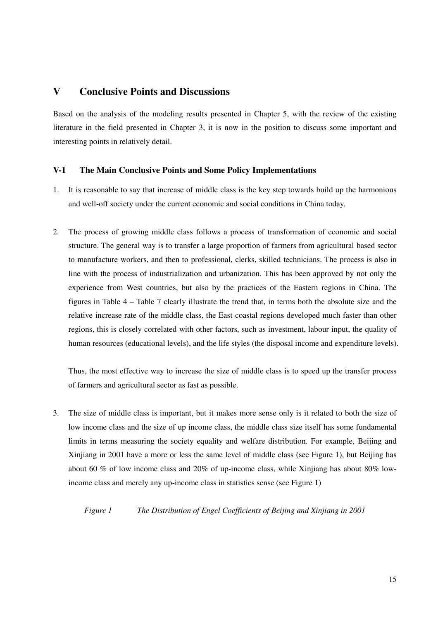## **V Conclusive Points and Discussions**

Based on the analysis of the modeling results presented in Chapter 5, with the review of the existing literature in the field presented in Chapter 3, it is now in the position to discuss some important and interesting points in relatively detail.

## **V-1 The Main Conclusive Points and Some Policy Implementations**

- 1. It is reasonable to say that increase of middle class is the key step towards build up the harmonious and well-off society under the current economic and social conditions in China today.
- 2. The process of growing middle class follows a process of transformation of economic and social structure. The general way is to transfer a large proportion of farmers from agricultural based sector to manufacture workers, and then to professional, clerks, skilled technicians. The process is also in line with the process of industrialization and urbanization. This has been approved by not only the experience from West countries, but also by the practices of the Eastern regions in China. The figures in Table 4 – Table 7 clearly illustrate the trend that, in terms both the absolute size and the relative increase rate of the middle class, the East-coastal regions developed much faster than other regions, this is closely correlated with other factors, such as investment, labour input, the quality of human resources (educational levels), and the life styles (the disposal income and expenditure levels).

Thus, the most effective way to increase the size of middle class is to speed up the transfer process of farmers and agricultural sector as fast as possible.

3. The size of middle class is important, but it makes more sense only is it related to both the size of low income class and the size of up income class, the middle class size itself has some fundamental limits in terms measuring the society equality and welfare distribution. For example, Beijing and Xinjiang in 2001 have a more or less the same level of middle class (see Figure 1), but Beijing has about 60 % of low income class and 20% of up-income class, while Xinjiang has about 80% lowincome class and merely any up-income class in statistics sense (see Figure 1)

*Figure 1 The Distribution of Engel Coefficients of Beijing and Xinjiang in 2001*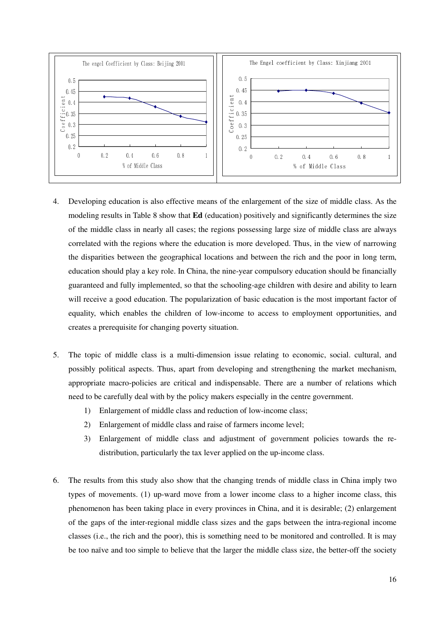

- 4. Developing education is also effective means of the enlargement of the size of middle class. As the modeling results in Table 8 show that **Ed** (education) positively and significantly determines the size of the middle class in nearly all cases; the regions possessing large size of middle class are always correlated with the regions where the education is more developed. Thus, in the view of narrowing the disparities between the geographical locations and between the rich and the poor in long term, education should play a key role. In China, the nine-year compulsory education should be financially guaranteed and fully implemented, so that the schooling-age children with desire and ability to learn will receive a good education. The popularization of basic education is the most important factor of equality, which enables the children of low-income to access to employment opportunities, and creates a prerequisite for changing poverty situation.
- 5. The topic of middle class is a multi-dimension issue relating to economic, social. cultural, and possibly political aspects. Thus, apart from developing and strengthening the market mechanism, appropriate macro-policies are critical and indispensable. There are a number of relations which need to be carefully deal with by the policy makers especially in the centre government.
	- 1) Enlargement of middle class and reduction of low-income class;
	- 2) Enlargement of middle class and raise of farmers income level;
	- 3) Enlargement of middle class and adjustment of government policies towards the redistribution, particularly the tax lever applied on the up-income class.
- 6. The results from this study also show that the changing trends of middle class in China imply two types of movements. (1) up-ward move from a lower income class to a higher income class, this phenomenon has been taking place in every provinces in China, and it is desirable; (2) enlargement of the gaps of the inter-regional middle class sizes and the gaps between the intra-regional income classes (i.e., the rich and the poor), this is something need to be monitored and controlled. It is may be too naïve and too simple to believe that the larger the middle class size, the better-off the society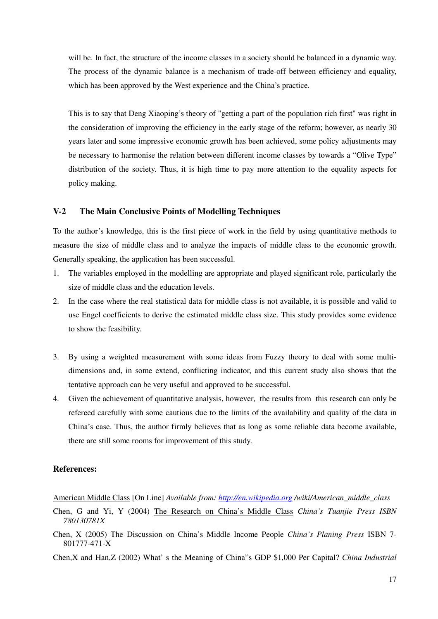will be. In fact, the structure of the income classes in a society should be balanced in a dynamic way. The process of the dynamic balance is a mechanism of trade-off between efficiency and equality, which has been approved by the West experience and the China's practice.

This is to say that Deng Xiaoping's theory of "getting a part of the population rich first" was right in the consideration of improving the efficiency in the early stage of the reform; however, as nearly 30 years later and some impressive economic growth has been achieved, some policy adjustments may be necessary to harmonise the relation between different income classes by towards a "Olive Type" distribution of the society. Thus, it is high time to pay more attention to the equality aspects for policy making.

## **V-2 The Main Conclusive Points of Modelling Techniques**

To the author's knowledge, this is the first piece of work in the field by using quantitative methods to measure the size of middle class and to analyze the impacts of middle class to the economic growth. Generally speaking, the application has been successful.

- 1. The variables employed in the modelling are appropriate and played significant role, particularly the size of middle class and the education levels.
- 2. In the case where the real statistical data for middle class is not available, it is possible and valid to use Engel coefficients to derive the estimated middle class size. This study provides some evidence to show the feasibility.
- 3. By using a weighted measurement with some ideas from Fuzzy theory to deal with some multidimensions and, in some extend, conflicting indicator, and this current study also shows that the tentative approach can be very useful and approved to be successful.
- 4. Given the achievement of quantitative analysis, however, the results from this research can only be refereed carefully with some cautious due to the limits of the availability and quality of the data in China's case. Thus, the author firmly believes that as long as some reliable data become available, there are still some rooms for improvement of this study.

## **References:**

American Middle Class [On Line] *Available from: http://en.wikipedia.org /wiki/American\_middle\_class* 

- Chen, G and Yi, Y (2004) The Research on China's Middle Class *China's Tuanjie Press ISBN 780130781X*
- Chen, X (2005) The Discussion on China's Middle Income People *China's Planing Press* ISBN 7- 801777-471-X
- Chen,X and Han,Z (2002) What' s the Meaning of China"s GDP \$1,000 Per Capital? *China Industrial*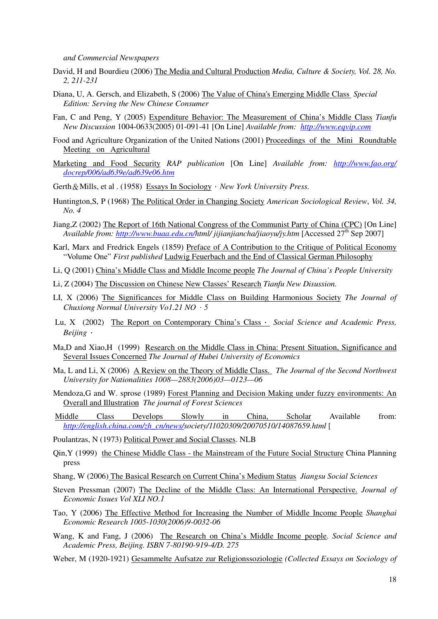*and Commercial Newspapers*

- David, H and Bourdieu (2006) The Media and Cultural Production *Media, Culture & Society, Vol. 28, No. 2, 211-231*
- Diana, U, A. Gersch, and Elizabeth, S (2006) The Value of China's Emerging Middle Class *Special Edition: Serving the New Chinese Consumer*
- Fan, C and Peng, Y (2005) Expenditure Behavior: The Measurement of China's Middle Class *Tianfu New Discussion* 1004-0633(2005) 01-091-41 [On Line] *Available from: http://www.eqvip.com*
- Food and Agriculture Organization of the United Nations (2001) Proceedings of the Mini Roundtable Meeting on Agricultural
- Marketing and Food Security *RAP publication* [On Line] *Available from: http://www.fao.org/ docrep/006/ad639e/ad639e06.htm*
- Gerth & Mills, et al. (1958) Essays In Sociology · New York University Press.
- Huntington,S, P (1968) The Political Order in Changing Society *American Sociological Review*, *Vol. 34, No. 4*
- Jiang,Z (2002) The Report of 16th National Congress of the Communist Party of China (CPC) [On Line] *Available from: http://www.buaa.edu.cn/html/ jijianjiancha/jiaoyu/jy.htm* [Accessed 27<sup>th</sup> Sep 2007]
- Karl, Marx and Fredrick Engels (1859) Preface of A Contribution to the Critique of Political Economy "Volume One" *First published* Ludwig Feuerbach and the End of Classical German Philosophy
- Li, Q (2001) China's Middle Class and Middle Income people *The Journal of China's People University*
- Li, Z (2004) The Discussion on Chinese New Classes' Research *Tianfu New Disussion.*
- LI, X (2006) The Significances for Middle Class on Building Harmonious Society *The Journal of Chuxiong Normal University Vo1.21 NO*.*5*
- Lu, X (2002) The Report on Contemporary China's Class. *Social Science and Academic Press, Beijing*.
- Ma,D and Xiao,H (1999) Research on the Middle Class in China: Present Situation, Significance and Several Issues Concerned *The Journal of Hubei University of Economics*
- Ma, L and Li, X (2006) A Review on the Theory of Middle Class. *The Journal of the Second Northwest University for Nationalities 1008—2883(2006)03—0123—06*
- Mendoza,G and W. sprose (1989) Forest Planning and Decision Making under fuzzy environments: An Overall and Illustration *The journal of Forest Sciences*
- Middle Class Develops Slowly in China, Scholar Available from: *http://english.china.com/zh\_cn/news/society/11020309/20070510/14087659.html* [
- Poulantzas, N (1973) Political Power and Social Classes. NLB
- Qin,Y (1999) the Chinese Middle Class the Mainstream of the Future Social Structure China Planning press
- Shang, W (2006) The Basical Research on Current China's Medium Status *Jiangsu Social Sciences*
- Steven Pressman (2007) The Decline of the Middle Class: An International Perspective. *Journal of Economic Issues Vol XLI NO.1*
- Tao, Y (2006) The Effective Method for Increasing the Number of Middle Income People *Shanghai Economic Research 1005-1030(2006)9-0032-06*
- Wang, K and Fang, J (2006) The Research on China's Middle Income people. *Social Science and Academic Press, Beijing. ISBN 7-80190-919-4/D. 275*
- Weber, M (1920-1921) Gesammelte Aufsatze zur Religionssoziologie *(Collected Essays on Sociology of*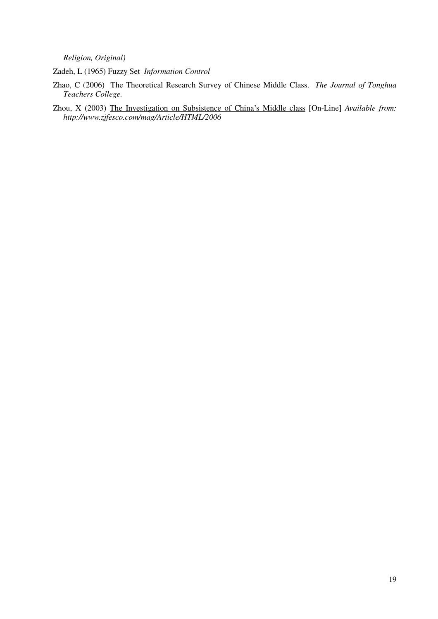*Religion, Original)* 

Zadeh, L (1965) Fuzzy Set *Information Control* 

- Zhao, C (2006) The Theoretical Research Survey of Chinese Middle Class. *The Journal of Tonghua Teachers College.*
- Zhou, X (2003) The Investigation on Subsistence of China's Middle class [On-Line] *Available from: http://www.zjfesco.com/mag/Article/HTML/2006*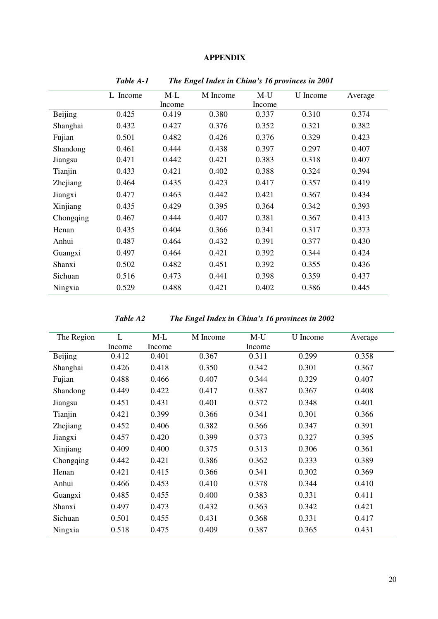## **APPENDIX**

|                 |          | The Enger Index in China 5 To provinces in |          |        |          |         |
|-----------------|----------|--------------------------------------------|----------|--------|----------|---------|
|                 | L Income | $M-L$                                      | M Income | $M-U$  | U Income | Average |
|                 |          | Income                                     |          | Income |          |         |
| Beijing         | 0.425    | 0.419                                      | 0.380    | 0.337  | 0.310    | 0.374   |
| Shanghai        | 0.432    | 0.427                                      | 0.376    | 0.352  | 0.321    | 0.382   |
| Fujian          | 0.501    | 0.482                                      | 0.426    | 0.376  | 0.329    | 0.423   |
| Shandong        | 0.461    | 0.444                                      | 0.438    | 0.397  | 0.297    | 0.407   |
| Jiangsu         | 0.471    | 0.442                                      | 0.421    | 0.383  | 0.318    | 0.407   |
| Tianjin         | 0.433    | 0.421                                      | 0.402    | 0.388  | 0.324    | 0.394   |
| <b>Zhejiang</b> | 0.464    | 0.435                                      | 0.423    | 0.417  | 0.357    | 0.419   |
| Jiangxi         | 0.477    | 0.463                                      | 0.442    | 0.421  | 0.367    | 0.434   |
| Xinjiang        | 0.435    | 0.429                                      | 0.395    | 0.364  | 0.342    | 0.393   |
| Chongqing       | 0.467    | 0.444                                      | 0.407    | 0.381  | 0.367    | 0.413   |
| Henan           | 0.435    | 0.404                                      | 0.366    | 0.341  | 0.317    | 0.373   |
| Anhui           | 0.487    | 0.464                                      | 0.432    | 0.391  | 0.377    | 0.430   |
| Guangxi         | 0.497    | 0.464                                      | 0.421    | 0.392  | 0.344    | 0.424   |
| Shanxi          | 0.502    | 0.482                                      | 0.451    | 0.392  | 0.355    | 0.436   |
| Sichuan         | 0.516    | 0.473                                      | 0.441    | 0.398  | 0.359    | 0.437   |
| Ningxia         | 0.529    | 0.488                                      | 0.421    | 0.402  | 0.386    | 0.445   |

*Table A-1 The Engel Index in China's 16 provinces in 2001*

*Table A2 The Engel Index in China's 16 provinces in 2002* 

| The Region | L      | $M-L$  | M Income | $M-U$  | U Income | Average |
|------------|--------|--------|----------|--------|----------|---------|
|            | Income | Income |          | Income |          |         |
| Beijing    | 0.412  | 0.401  | 0.367    | 0.311  | 0.299    | 0.358   |
| Shanghai   | 0.426  | 0.418  | 0.350    | 0.342  | 0.301    | 0.367   |
| Fujian     | 0.488  | 0.466  | 0.407    | 0.344  | 0.329    | 0.407   |
| Shandong   | 0.449  | 0.422  | 0.417    | 0.387  | 0.367    | 0.408   |
| Jiangsu    | 0.451  | 0.431  | 0.401    | 0.372  | 0.348    | 0.401   |
| Tianjin    | 0.421  | 0.399  | 0.366    | 0.341  | 0.301    | 0.366   |
| Zhejiang   | 0.452  | 0.406  | 0.382    | 0.366  | 0.347    | 0.391   |
| Jiangxi    | 0.457  | 0.420  | 0.399    | 0.373  | 0.327    | 0.395   |
| Xinjiang   | 0.409  | 0.400  | 0.375    | 0.313  | 0.306    | 0.361   |
| Chongqing  | 0.442  | 0.421  | 0.386    | 0.362  | 0.333    | 0.389   |
| Henan      | 0.421  | 0.415  | 0.366    | 0.341  | 0.302    | 0.369   |
| Anhui      | 0.466  | 0.453  | 0.410    | 0.378  | 0.344    | 0.410   |
| Guangxi    | 0.485  | 0.455  | 0.400    | 0.383  | 0.331    | 0.411   |
| Shanxi     | 0.497  | 0.473  | 0.432    | 0.363  | 0.342    | 0.421   |
| Sichuan    | 0.501  | 0.455  | 0.431    | 0.368  | 0.331    | 0.417   |
| Ningxia    | 0.518  | 0.475  | 0.409    | 0.387  | 0.365    | 0.431   |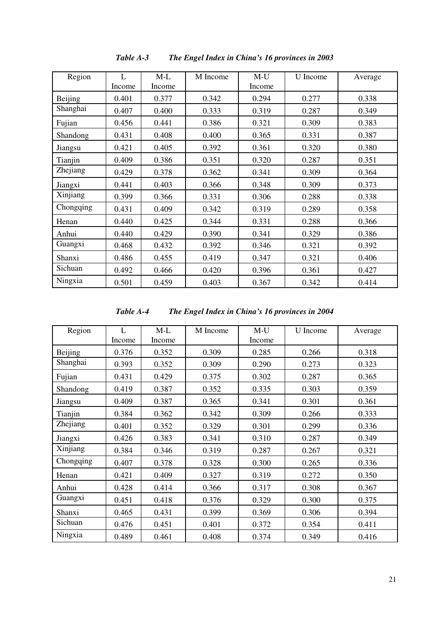| Region    | L<br>Income | $M-L$<br>Income | M Income | $M-U$<br>Income | <b>U</b> Income | Average |
|-----------|-------------|-----------------|----------|-----------------|-----------------|---------|
| Beijing   | 0.401       | 0.377           | 0.342    | 0.294           | 0.277           | 0.338   |
| Shanghai  | 0.407       | 0.400           | 0.333    | 0.319           | 0.287           | 0.349   |
| Fujian    | 0.456       | 0.441           | 0.386    | 0.321           | 0.309           | 0.383   |
| Shandong  | 0.431       | 0.408           | 0.400    | 0.365           | 0.331           | 0.387   |
| Jiangsu   | 0.421       | 0.405           | 0.392    | 0.361           | 0.320           | 0.380   |
| Tianjin   | 0.409       | 0.386           | 0.351    | 0.320           | 0.287           | 0.351   |
| Zhejiang  | 0.429       | 0.378           | 0.362    | 0.341           | 0.309           | 0.364   |
| Jiangxi   | 0.441       | 0.403           | 0.366    | 0.348           | 0.309           | 0.373   |
| Xinjiang  | 0.399       | 0.366           | 0.331    | 0.306           | 0.288           | 0.338   |
| Chongqing | 0.431       | 0.409           | 0.342    | 0.319           | 0.289           | 0.358   |
| Henan     | 0.440       | 0.425           | 0.344    | 0.331           | 0.288           | 0.366   |
| Anhui     | 0.440       | 0.429           | 0.390    | 0.341           | 0.329           | 0.386   |
| Guangxi   | 0.468       | 0.432           | 0.392    | 0.346           | 0.321           | 0.392   |
| Shanxi    | 0.486       | 0.455           | 0.419    | 0.347           | 0.321           | 0.406   |
| Sichuan   | 0.492       | 0.466           | 0.420    | 0.396           | 0.361           | 0.427   |
| Ningxia   | 0.501       | 0.459           | 0.403    | 0.367           | 0.342           | 0.414   |

*Table A-3 The Engel Index in China's 16 provinces in 2003* 

*Table A-4 The Engel Index in China's 16 provinces in 2004* 

| Region    | L<br>Income | $M-L$<br>Income | M Income | $M-U$<br>Income | <b>U</b> Income | Average |
|-----------|-------------|-----------------|----------|-----------------|-----------------|---------|
| Beijing   | 0.376       | 0.352           | 0.309    | 0.285           | 0.266           | 0.318   |
| Shanghai  | 0.393       | 0.352           | 0.309    | 0.290           | 0.273           | 0.323   |
| Fujian    | 0.431       | 0.429           | 0.375    | 0.302           | 0.287           | 0.365   |
| Shandong  | 0.419       | 0.387           | 0.352    | 0.335           | 0.303           | 0.359   |
| Jiangsu   | 0.409       | 0.387           | 0.365    | 0.341           | 0.301           | 0.361   |
| Tianjin   | 0.384       | 0.362           | 0.342    | 0.309           | 0.266           | 0.333   |
| Zhejiang  | 0.401       | 0.352           | 0.329    | 0.301           | 0.299           | 0.336   |
| Jiangxi   | 0.426       | 0.383           | 0.341    | 0.310           | 0.287           | 0.349   |
| Xinjiang  | 0.384       | 0.346           | 0.319    | 0.287           | 0.267           | 0.321   |
| Chongqing | 0.407       | 0.378           | 0.328    | 0.300           | 0.265           | 0.336   |
| Henan     | 0.421       | 0.409           | 0.327    | 0.319           | 0.272           | 0.350   |
| Anhui     | 0.428       | 0.414           | 0.366    | 0.317           | 0.308           | 0.367   |
| Guangxi   | 0.451       | 0.418           | 0.376    | 0.329           | 0.300           | 0.375   |
| Shanxi    | 0.465       | 0.431           | 0.399    | 0.369           | 0.306           | 0.394   |
| Sichuan   | 0.476       | 0.451           | 0.401    | 0.372           | 0.354           | 0.411   |
| Ningxia   | 0.489       | 0.461           | 0.408    | 0.374           | 0.349           | 0.416   |